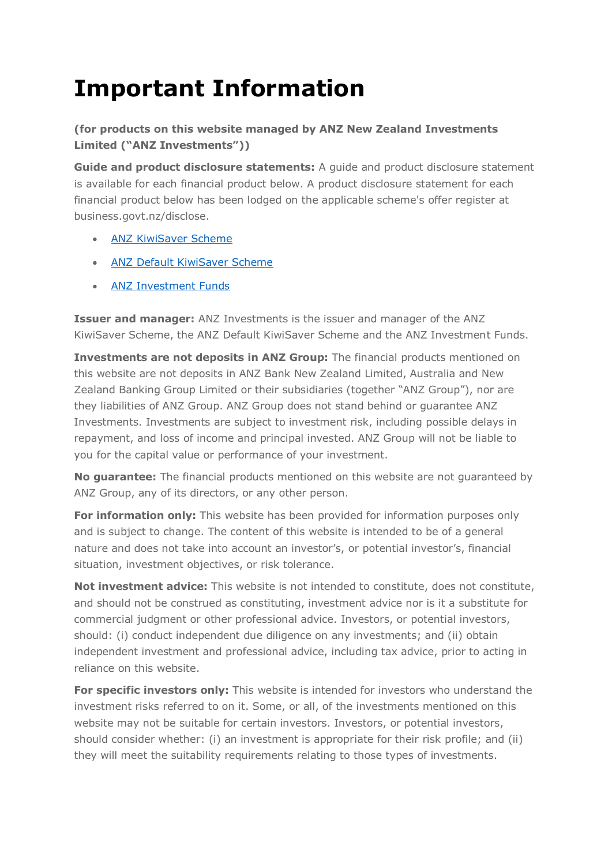## **Important Information**

**(for products on this website managed by ANZ New Zealand Investments Limited ("ANZ Investments"))** 

**Guide and product disclosure statements:** A guide and product disclosure statement is available for each financial product below. A product disclosure statement for each financial product below has been lodged on the applicable scheme's offer register at business.govt.nz/disclose.

- [ANZ KiwiSaver Scheme](https://www.anz.co.nz/content/dam/anzconz/documents/personal/investments-kiwisaver/ANZKS-PDS.pdf)
- [ANZ Default KiwiSaver Scheme](https://www.anz.co.nz/content/dam/anzconz/documents/personal/investments-kiwisaver/ANZDKS-PDS.pdf)
- [ANZ Investment Funds](https://www.anz.co.nz/content/dam/anzconz/documents/personal/investments-kiwisaver/ANZ-investment-fund-pds.pdf)

**Issuer and manager:** ANZ Investments is the issuer and manager of the ANZ KiwiSaver Scheme, the ANZ Default KiwiSaver Scheme and the ANZ Investment Funds.

**Investments are not deposits in ANZ Group:** The financial products mentioned on this website are not deposits in ANZ Bank New Zealand Limited, Australia and New Zealand Banking Group Limited or their subsidiaries (together "ANZ Group"), nor are they liabilities of ANZ Group. ANZ Group does not stand behind or guarantee ANZ Investments. Investments are subject to investment risk, including possible delays in repayment, and loss of income and principal invested. ANZ Group will not be liable to you for the capital value or performance of your investment.

**No guarantee:** The financial products mentioned on this website are not guaranteed by ANZ Group, any of its directors, or any other person.

**For information only:** This website has been provided for information purposes only and is subject to change. The content of this website is intended to be of a general nature and does not take into account an investor's, or potential investor's, financial situation, investment objectives, or risk tolerance.

**Not investment advice:** This website is not intended to constitute, does not constitute, and should not be construed as constituting, investment advice nor is it a substitute for commercial judgment or other professional advice. Investors, or potential investors, should: (i) conduct independent due diligence on any investments; and (ii) obtain independent investment and professional advice, including tax advice, prior to acting in reliance on this website.

**For specific investors only:** This website is intended for investors who understand the investment risks referred to on it. Some, or all, of the investments mentioned on this website may not be suitable for certain investors. Investors, or potential investors, should consider whether: (i) an investment is appropriate for their risk profile; and (ii) they will meet the suitability requirements relating to those types of investments.